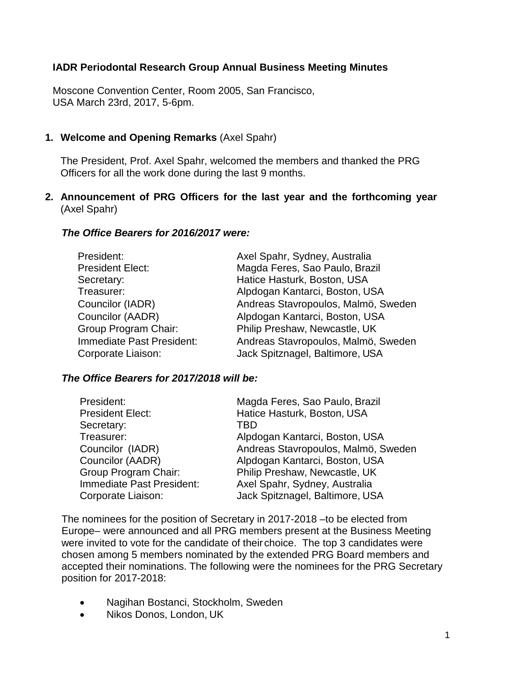## **IADR Periodontal Research Group Annual Business Meeting Minutes**

Moscone Convention Center, Room 2005, San Francisco, USA March 23rd, 2017, 5-6pm.

### **1. Welcome and Opening Remarks** (Axel Spahr)

The President, Prof. Axel Spahr, welcomed the members and thanked the PRG Officers for all the work done during the last 9 months.

### **2. Announcement of PRG Officers for the last year and the forthcoming year** (Axel Spahr)

### *The Office Bearers for 2016/2017 were:*

| President:                | Axel Spahr, Sydney, Australia       |
|---------------------------|-------------------------------------|
| <b>President Elect:</b>   | Magda Feres, Sao Paulo, Brazil      |
| Secretary:                | Hatice Hasturk, Boston, USA         |
| Treasurer:                | Alpdogan Kantarci, Boston, USA      |
| Councilor (IADR)          | Andreas Stavropoulos, Malmö, Sweden |
| Councilor (AADR)          | Alpdogan Kantarci, Boston, USA      |
| Group Program Chair:      | Philip Preshaw, Newcastle, UK       |
| Immediate Past President: | Andreas Stavropoulos, Malmö, Sweden |
| Corporate Liaison:        | Jack Spitznagel, Baltimore, USA     |

### *The Office Bearers for 2017/2018 will be:*

| President:                | Magda Feres, Sao Paulo, Brazil      |
|---------------------------|-------------------------------------|
| <b>President Elect:</b>   | Hatice Hasturk, Boston, USA         |
| Secretary:                | TBD                                 |
| Treasurer:                | Alpdogan Kantarci, Boston, USA      |
| Councilor (IADR)          | Andreas Stavropoulos, Malmö, Sweden |
| Councilor (AADR)          | Alpdogan Kantarci, Boston, USA      |
| Group Program Chair:      | Philip Preshaw, Newcastle, UK       |
| Immediate Past President: | Axel Spahr, Sydney, Australia       |
| Corporate Liaison:        | Jack Spitznagel, Baltimore, USA     |

The nominees for the position of Secretary in 2017-2018 –to be elected from Europe– were announced and all PRG members present at the Business Meeting were invited to vote for the candidate of their choice. The top 3 candidates were chosen among 5 members nominated by the extended PRG Board members and accepted their nominations. The following were the nominees for the PRG Secretary position for 2017-2018:

- Nagihan Bostanci, Stockholm, Sweden
- Nikos Donos, London, UK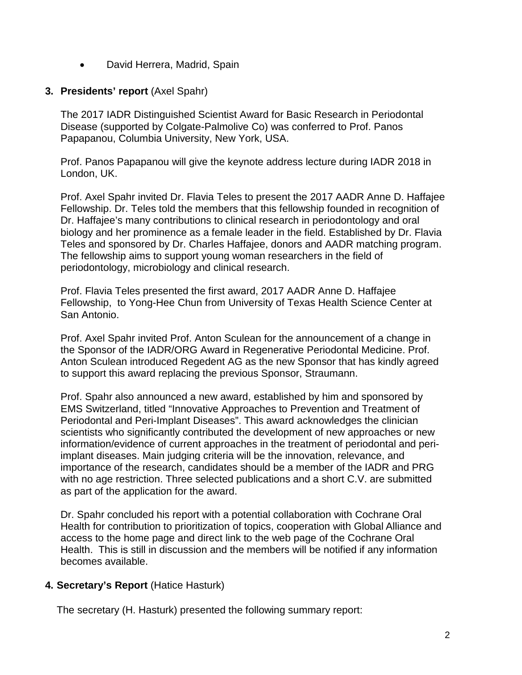• David Herrera, Madrid, Spain

### **3. Presidents' report** (Axel Spahr)

The 2017 IADR Distinguished Scientist Award for Basic Research in Periodontal Disease (supported by Colgate-Palmolive Co) was conferred to Prof. Panos Papapanou, Columbia University, New York, USA.

Prof. Panos Papapanou will give the keynote address lecture during IADR 2018 in London, UK.

Prof. Axel Spahr invited Dr. Flavia Teles to present the 2017 AADR Anne D. Haffajee Fellowship. Dr. Teles told the members that this fellowship founded in recognition of Dr. Haffajee's many contributions to clinical research in periodontology and oral biology and her prominence as a female leader in the field. Established by Dr. Flavia Teles and sponsored by Dr. Charles Haffajee, donors and AADR matching program. The fellowship aims to support young woman researchers in the field of periodontology, microbiology and clinical research.

Prof. Flavia Teles presented the first award, 2017 AADR Anne D. Haffajee Fellowship, to Yong-Hee Chun from University of Texas Health Science Center at San Antonio.

Prof. Axel Spahr invited Prof. Anton Sculean for the announcement of a change in the Sponsor of the IADR/ORG Award in Regenerative Periodontal Medicine. Prof. Anton Sculean introduced Regedent AG as the new Sponsor that has kindly agreed to support this award replacing the previous Sponsor, Straumann.

Prof. Spahr also announced a new award, established by him and sponsored by EMS Switzerland, titled "Innovative Approaches to Prevention and Treatment of Periodontal and Peri-Implant Diseases". This award acknowledges the clinician scientists who significantly contributed the development of new approaches or new information/evidence of current approaches in the treatment of periodontal and periimplant diseases. Main judging criteria will be the innovation, relevance, and importance of the research, candidates should be a member of the IADR and PRG with no age restriction. Three selected publications and a short C.V. are submitted as part of the application for the award.

Dr. Spahr concluded his report with a potential collaboration with Cochrane Oral Health for contribution to prioritization of topics, cooperation with Global Alliance and access to the home page and direct link to the web page of the Cochrane Oral Health. This is still in discussion and the members will be notified if any information becomes available.

### **4. Secretary's Report** (Hatice Hasturk)

The secretary (H. Hasturk) presented the following summary report: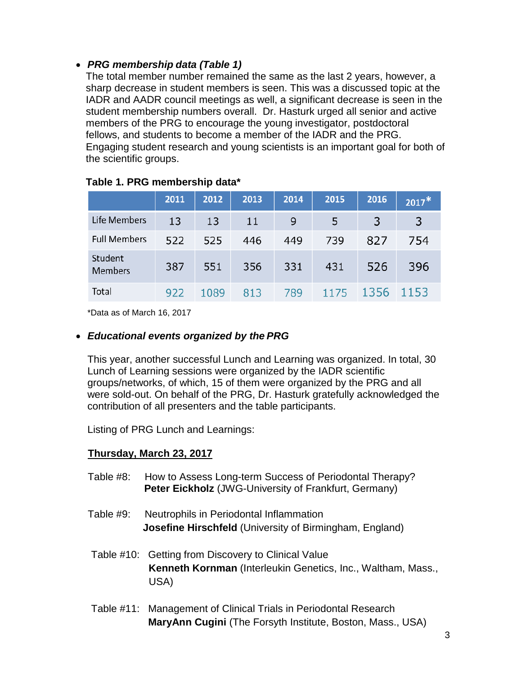## • *PRG membership data (Table 1)*

The total member number remained the same as the last 2 years, however, a sharp decrease in student members is seen. This was a discussed topic at the IADR and AADR council meetings as well, a significant decrease is seen in the student membership numbers overall. Dr. Hasturk urged all senior and active members of the PRG to encourage the young investigator, postdoctoral fellows, and students to become a member of the IADR and the PRG. Engaging student research and young scientists is an important goal for both of the scientific groups.

|                           | 2011 | 2012 | 2013 | 2014 | 2015 | 2016 | $2017*$ |
|---------------------------|------|------|------|------|------|------|---------|
| <b>Life Members</b>       | 13   | 13   | 11   | 9    | 5    | 3    | 3       |
| <b>Full Members</b>       | 522  | 525  | 446  | 449  | 739  | 827  | 754     |
| Student<br><b>Members</b> | 387  | 551  | 356  | 331  | 431  | 526  | 396     |
| Total                     | 922  | 1089 | 813  | 789  | 1175 | 1356 | 1153    |

### **Table 1. PRG membership data\***

\*Data as of March 16, 2017

### • *Educational events organized by the PRG*

This year, another successful Lunch and Learning was organized. In total, 30 Lunch of Learning sessions were organized by the IADR scientific groups/networks, of which, 15 of them were organized by the PRG and all were sold-out. On behalf of the PRG, Dr. Hasturk gratefully acknowledged the contribution of all presenters and the table participants.

Listing of PRG Lunch and Learnings:

## **Thursday, March 23, 2017**

- Table #8: How to Assess Long-term Success of Periodontal Therapy? **Peter Eickholz** (JWG-University of Frankfurt, Germany)
- Table #9: Neutrophils in Periodontal Inflammation **Josefine Hirschfeld** (University of Birmingham, England)
- Table #10: Getting from Discovery to Clinical Value **Kenneth Kornman** (Interleukin Genetics, Inc., Waltham, Mass., USA)
- Table #11: Management of Clinical Trials in Periodontal Research **MaryAnn Cugini** (The Forsyth Institute, Boston, Mass., USA)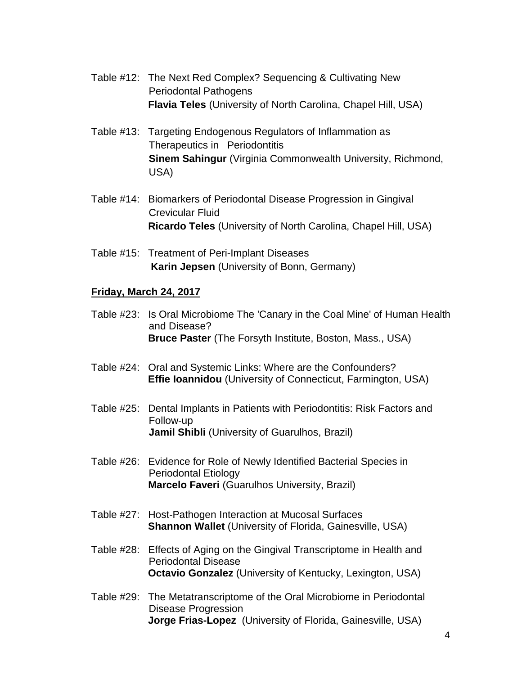- Table #12: The Next Red Complex? Sequencing & Cultivating New Periodontal Pathogens **Flavia Teles** (University of North Carolina, Chapel Hill, USA)
- Table #13: Targeting Endogenous Regulators of Inflammation as Therapeutics in Periodontitis **Sinem Sahingur** (Virginia Commonwealth University, Richmond, USA)
- Table #14: Biomarkers of Periodontal Disease Progression in Gingival Crevicular Fluid **Ricardo Teles** (University of North Carolina, Chapel Hill, USA)
- Table #15: Treatment of Peri-Implant Diseases **Karin Jepsen** (University of Bonn, Germany)

### **Friday, March 24, 2017**

- Table #23: Is Oral Microbiome The 'Canary in the Coal Mine' of Human Health and Disease?  **Bruce Paster** (The Forsyth Institute, Boston, Mass., USA)
- Table #24: Oral and Systemic Links: Where are the Confounders?  **Effie Ioannidou** (University of Connecticut, Farmington, USA)
- Table #25: Dental Implants in Patients with Periodontitis: Risk Factors and Follow-up **Jamil Shibli** (University of Guarulhos, Brazil)
- Table #26: Evidence for Role of Newly Identified Bacterial Species in Periodontal Etiology  **Marcelo Faveri** (Guarulhos University, Brazil)
- Table #27: Host-Pathogen Interaction at Mucosal Surfaces **Shannon Wallet** (University of Florida, Gainesville, USA)
- Table #28: Effects of Aging on the Gingival Transcriptome in Health and Periodontal Disease **Octavio Gonzalez** (University of Kentucky, Lexington, USA)
- Table #29: The Metatranscriptome of the Oral Microbiome in Periodontal Disease Progression  **Jorge Frias-Lopez** (University of Florida, Gainesville, USA)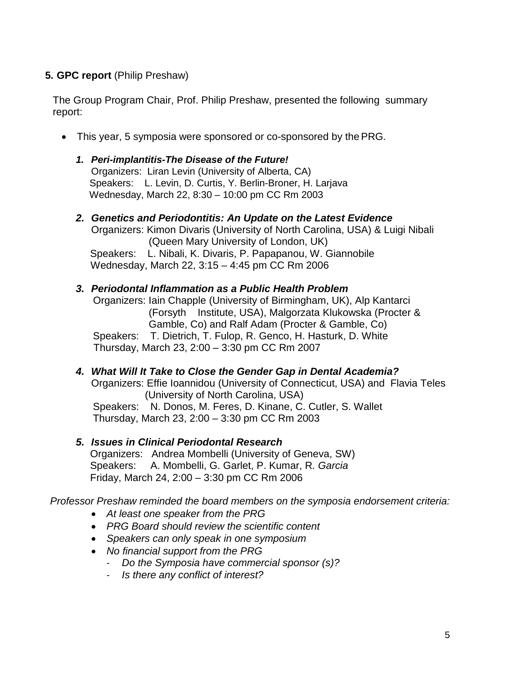## **5. GPC report** (Philip Preshaw)

The Group Program Chair, Prof. Philip Preshaw, presented the following summary report:

• This year, 5 symposia were sponsored or co-sponsored by thePRG.

### *1. Peri-implantitis-The Disease of the Future!*

Organizers: Liran Levin (University of Alberta, CA) Speakers: L. Levin, D. Curtis, Y. Berlin-Broner, H. Larjava Wednesday, March 22, 8:30 – 10:00 pm CC Rm 2003

# *2. Genetics and Periodontitis: An Update on the Latest Evidence*

Organizers: Kimon Divaris (University of North Carolina, USA) & Luigi Nibali (Queen Mary University of London, UK) Speakers: L. Nibali, K. Divaris, P. Papapanou, W. Giannobile Wednesday, March 22, 3:15 – 4:45 pm CC Rm 2006

### *3. Periodontal Inflammation as a Public Health Problem*

 Organizers: Iain Chapple (University of Birmingham, UK), Alp Kantarci (Forsyth Institute, USA), Malgorzata Klukowska (Procter & Gamble, Co) and Ralf Adam (Procter & Gamble, Co) Speakers: T. Dietrich, T. Fulop, R. Genco, H. Hasturk, D. White Thursday, March 23, 2:00 – 3:30 pm CC Rm 2007

# *4. What Will It Take to Close the Gender Gap in Dental Academia?*  Organizers: Effie Ioannidou (University of Connecticut, USA) and Flavia Teles (University of North Carolina, USA)

 Speakers: N. Donos, M. Feres, D. Kinane, C. Cutler, S. Wallet Thursday, March 23, 2:00 – 3:30 pm CC Rm 2003

## *5. Issues in Clinical Periodontal Research*

Organizers: Andrea Mombelli (University of Geneva, SW) Speakers: A. Mombelli, G. Garlet, P. Kumar, R*. Garcia* Friday, March 24, 2:00 – 3:30 pm CC Rm 2006

*Professor Preshaw reminded the board members on the symposia endorsement criteria:*

- *At least one speaker from the PRG*
- *PRG Board should review the scientific content*
- *Speakers can only speak in one symposium*
- *No financial support from the PRG*
	- *- Do the Symposia have commercial sponsor (s)?*
	- *- Is there any conflict of interest?*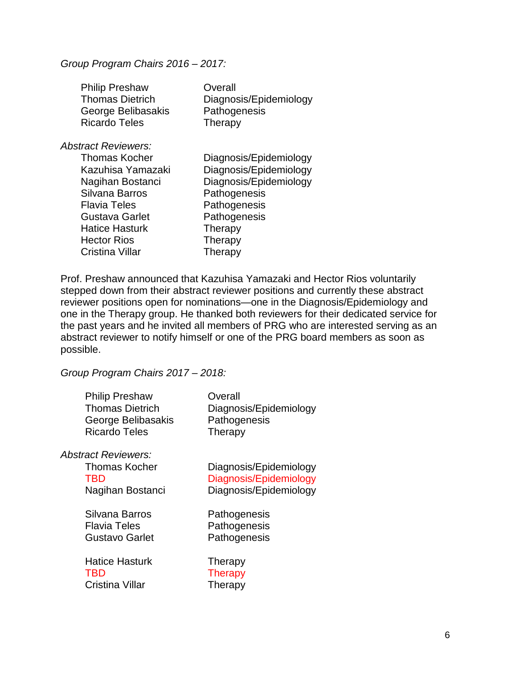#### *Group Program Chairs 2016 – 2017:*

| <b>Philip Preshaw</b><br><b>Thomas Dietrich</b><br>George Belibasakis<br><b>Ricardo Teles</b> | Overall<br>Diagnosis/Epidemiology<br>Pathogenesis<br>Therapy |
|-----------------------------------------------------------------------------------------------|--------------------------------------------------------------|
| Abstract Reviewers:                                                                           |                                                              |
| Thomas Kocher                                                                                 | Diagnosis/Epidemiology                                       |
| Kazuhisa Yamazaki                                                                             | Diagnosis/Epidemiology                                       |
| Nagihan Bostanci                                                                              | Diagnosis/Epidemiology                                       |
| Silvana Barros                                                                                | Pathogenesis                                                 |
| Flavia Teles                                                                                  | Pathogenesis                                                 |
| Gustava Garlet                                                                                | Pathogenesis                                                 |
| <b>Hatice Hasturk</b>                                                                         | Therapy                                                      |
| <b>Hector Rios</b>                                                                            | Therapy                                                      |
| Cristina Villar                                                                               | Therapy                                                      |
|                                                                                               |                                                              |

Prof. Preshaw announced that Kazuhisa Yamazaki and Hector Rios voluntarily stepped down from their abstract reviewer positions and currently these abstract reviewer positions open for nominations—one in the Diagnosis/Epidemiology and one in the Therapy group. He thanked both reviewers for their dedicated service for the past years and he invited all members of PRG who are interested serving as an abstract reviewer to notify himself or one of the PRG board members as soon as possible.

*Group Program Chairs 2017 – 2018:*

| <b>Philip Preshaw</b><br><b>Thomas Dietrich</b><br>George Belibasakis<br><b>Ricardo Teles</b> | Overall<br>Diagnosis/Epidemiology<br>Pathogenesis<br>Therapy |
|-----------------------------------------------------------------------------------------------|--------------------------------------------------------------|
| <b>Abstract Reviewers:</b>                                                                    |                                                              |
| Thomas Kocher                                                                                 | Diagnosis/Epidemiology                                       |
| <b>TBD</b>                                                                                    | Diagnosis/Epidemiology                                       |
| Nagihan Bostanci                                                                              | Diagnosis/Epidemiology                                       |
| Silvana Barros                                                                                | Pathogenesis                                                 |
| <b>Flavia Teles</b>                                                                           | Pathogenesis                                                 |
| Gustavo Garlet                                                                                | Pathogenesis                                                 |
| <b>Hatice Hasturk</b>                                                                         | Therapy                                                      |
| <b>TBD</b>                                                                                    | <b>Therapy</b>                                               |
| <b>Cristina Villar</b>                                                                        | Therapy                                                      |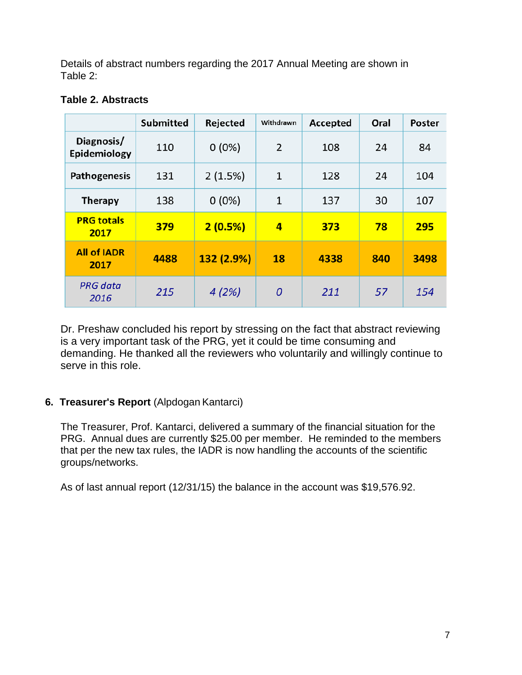Details of abstract numbers regarding the 2017 Annual Meeting are shown in Table 2:

|                            | <b>Submitted</b> | Rejected   | Withdrawn      | Accepted | Oral | Poster |
|----------------------------|------------------|------------|----------------|----------|------|--------|
| Diagnosis/<br>Epidemiology | 110              | $0(0\%)$   | 2              | 108      | 24   | 84     |
| <b>Pathogenesis</b>        | 131              | 2(1.5%)    | $\mathbf{1}$   | 128      | 24   | 104    |
| <b>Therapy</b>             | 138              | $0(0\%)$   | $\mathbf{1}$   | 137      | 30   | 107    |
| <b>PRG totals</b><br>2017  | 379              | 2(0.5%)    | 4              | 373      | 78   | 295    |
| <b>All of IADR</b><br>2017 | 4488             | 132 (2.9%) | 18             | 4338     | 840  | 3498   |
| <b>PRG</b> data<br>2016    | 215              | 4(2%)      | $\overline{0}$ | 211      | 57   | 154    |

## **Table 2. Abstracts**

Dr. Preshaw concluded his report by stressing on the fact that abstract reviewing is a very important task of the PRG, yet it could be time consuming and demanding. He thanked all the reviewers who voluntarily and willingly continue to serve in this role.

## **6. Treasurer's Report** (Alpdogan Kantarci)

The Treasurer, Prof. Kantarci, delivered a summary of the financial situation for the PRG. Annual dues are currently \$25.00 per member. He reminded to the members that per the new tax rules, the IADR is now handling the accounts of the scientific groups/networks.

As of last annual report (12/31/15) the balance in the account was \$19,576.92.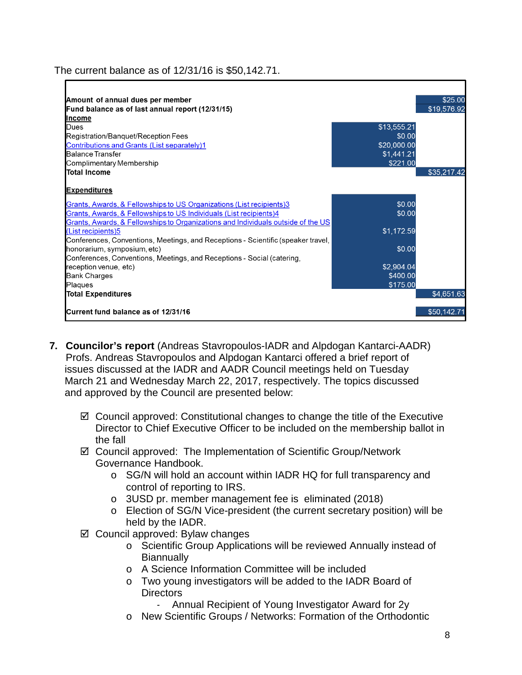## The current balance as of 12/31/16 is \$50,142.71.

| Amount of annual dues per member                                                                                                                       |             | \$25.00     |
|--------------------------------------------------------------------------------------------------------------------------------------------------------|-------------|-------------|
| Fund balance as of last annual report (12/31/15)                                                                                                       |             | \$19,576.92 |
| Income                                                                                                                                                 |             |             |
| Dues                                                                                                                                                   | \$13,555.21 |             |
| Registration/Banquet/Reception Fees                                                                                                                    | \$0.00      |             |
| Contributions and Grants (List separately)1                                                                                                            | \$20,000.00 |             |
| Balance Transfer                                                                                                                                       | \$1,441.21  |             |
| Complimentary Membership                                                                                                                               | \$221.00    |             |
| <b>Total Income</b>                                                                                                                                    |             | \$35,217.42 |
| <b>Expenditures</b><br>Grants, Awards, & Fellowships to US Organizations (List recipients)3                                                            | \$0.00      |             |
| Grants, Awards, & Fellowships to US Individuals (List recipients)4<br>Grants, Awards, & Fellowships to Organizations and Individuals outside of the US | \$0.00      |             |
| (List recipients)5<br>Conferences, Conventions, Meetings, and Receptions - Scientific (speaker travel,                                                 | \$1,172.59  |             |
| honorarium, symposium, etc)                                                                                                                            | \$0.00      |             |
| Conferences, Conventions, Meetings, and Receptions - Social (catering,                                                                                 |             |             |
| reception venue, etc)                                                                                                                                  | \$2,904.04  |             |
| <b>Bank Charges</b>                                                                                                                                    | \$400.00    |             |
| Plaques                                                                                                                                                | \$175.00    |             |
| <b>Total Expenditures</b>                                                                                                                              |             | \$4,651.63  |
| Current fund balance as of 12/31/16                                                                                                                    |             | \$50,142.71 |

- **7. Councilor's report** (Andreas Stavropoulos-IADR and Alpdogan Kantarci-AADR) Profs. Andreas Stavropoulos and Alpdogan Kantarci offered a brief report of issues discussed at the IADR and AADR Council meetings held on Tuesday March 21 and Wednesday March 22, 2017, respectively. The topics discussed and approved by the Council are presented below:
	- $\boxtimes$  Council approved: Constitutional changes to change the title of the Executive Director to Chief Executive Officer to be included on the membership ballot in the fall
	- Council approved: The Implementation of Scientific Group/Network Governance Handbook.
		- o SG/N will hold an account within IADR HQ for full transparency and control of reporting to IRS.
		- o 3USD pr. member management fee is eliminated (2018)
		- o Election of SG/N Vice-president (the current secretary position) will be held by the IADR.
	- $\boxtimes$  Council approved: Bylaw changes
		- o Scientific Group Applications will be reviewed Annually instead of **Biannually**
		- o A Science Information Committee will be included
		- o Two young investigators will be added to the IADR Board of **Directors** 
			- *-* Annual Recipient of Young Investigator Award for 2y
		- o New Scientific Groups / Networks: Formation of the Orthodontic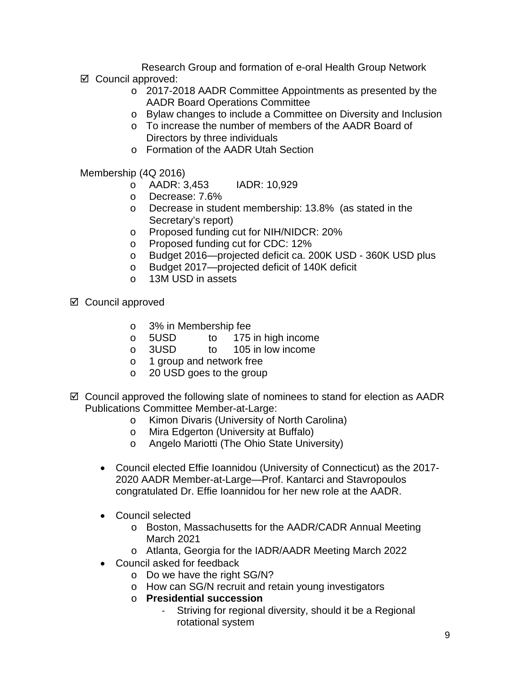Research Group and formation of e-oral Health Group Network Council approved:

- o 2017-2018 AADR Committee Appointments as presented by the AADR Board Operations Committee
- o Bylaw changes to include a Committee on Diversity and Inclusion
- o To increase the number of members of the AADR Board of Directors by three individuals
- o Formation of the AADR Utah Section

Membership (4Q 2016)

- o AADR: 3,453 IADR: 10,929
- o Decrease: 7.6%
- o Decrease in student membership: 13.8% (as stated in the Secretary's report)
- o Proposed funding cut for NIH/NIDCR: 20%
- o Proposed funding cut for CDC: 12%
- o Budget 2016—projected deficit ca. 200K USD 360K USD plus
- o Budget 2017—projected deficit of 140K deficit
- o 13M USD in assets
- $\boxtimes$  Council approved
	- o 3% in Membership fee
	- o 5USD to 175 in high income<br>o 3USD to 105 in low income
	- 105 in low income
	- o 1 group and network free<br>
	o 20 USD goes to the group
	- 20 USD goes to the group
- $\boxtimes$  Council approved the following slate of nominees to stand for election as AADR Publications Committee Member-at-Large:
	- o Kimon Divaris (University of North Carolina)<br>o Mira Edgerton (University at Buffalo)
		- Mira Edgerton (University at Buffalo)
	- o Angelo Mariotti (The Ohio State University)
	- Council elected Effie Ioannidou (University of Connecticut) as the 2017- 2020 AADR Member-at-Large—Prof. Kantarci and Stavropoulos congratulated Dr. Effie Ioannidou for her new role at the AADR.
	- Council selected
		- o Boston, Massachusetts for the AADR/CADR Annual Meeting March 2021
		- o Atlanta, Georgia for the IADR/AADR Meeting March 2022
	- Council asked for feedback
		- o Do we have the right SG/N?
		- o How can SG/N recruit and retain young investigators
		- o **Presidential succession**
			- *-* Striving for regional diversity, should it be a Regional rotational system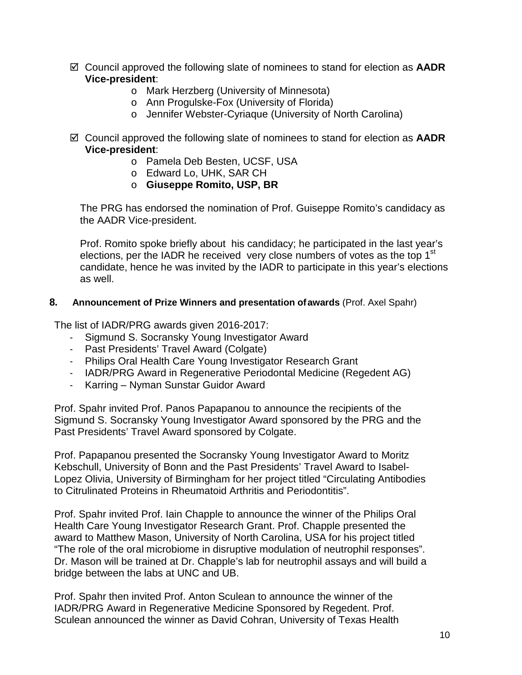- Council approved the following slate of nominees to stand for election as **AADR Vice-president**:
	- o Mark Herzberg (University of Minnesota)
	- o Ann Progulske-Fox (University of Florida)
	- o Jennifer Webster-Cyriaque (University of North Carolina)
- Council approved the following slate of nominees to stand for election as **AADR Vice-president**:
	- o Pamela Deb Besten, UCSF, USA
	- o Edward Lo, UHK, SAR CH
	- o **Giuseppe Romito, USP, BR**

The PRG has endorsed the nomination of Prof. Guiseppe Romito's candidacy as the AADR Vice-president.

Prof. Romito spoke briefly about his candidacy; he participated in the last year's elections, per the IADR he received very close numbers of votes as the top 1<sup>st</sup> candidate, hence he was invited by the IADR to participate in this year's elections as well.

### **8. Announcement of Prize Winners and presentation ofawards** (Prof. Axel Spahr)

The list of IADR/PRG awards given 2016-2017:

- *-* Sigmund S. Socransky Young Investigator Award
- *-* Past Presidents' Travel Award (Colgate)
- *-* Philips Oral Health Care Young Investigator Research Grant
- *-* IADR/PRG Award in Regenerative Periodontal Medicine (Regedent AG)
- *-* Karring Nyman Sunstar Guidor Award

Prof. Spahr invited Prof. Panos Papapanou to announce the recipients of the Sigmund S. Socransky Young Investigator Award sponsored by the PRG and the Past Presidents' Travel Award sponsored by Colgate.

Prof. Papapanou presented the Socransky Young Investigator Award to Moritz Kebschull, University of Bonn and the Past Presidents' Travel Award to Isabel-Lopez Olivia, University of Birmingham for her project titled "Circulating Antibodies to Citrulinated Proteins in Rheumatoid Arthritis and Periodontitis".

Prof. Spahr invited Prof. Iain Chapple to announce the winner of the Philips Oral Health Care Young Investigator Research Grant. Prof. Chapple presented the award to Matthew Mason, University of North Carolina, USA for his project titled "The role of the oral microbiome in disruptive modulation of neutrophil responses". Dr. Mason will be trained at Dr. Chapple's lab for neutrophil assays and will build a bridge between the labs at UNC and UB.

Prof. Spahr then invited Prof. Anton Sculean to announce the winner of the IADR/PRG Award in Regenerative Medicine Sponsored by Regedent. Prof. Sculean announced the winner as David Cohran, University of Texas Health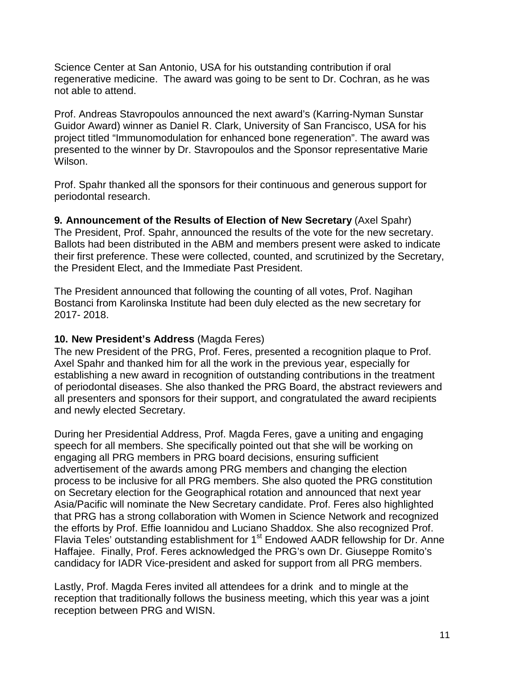Science Center at San Antonio, USA for his outstanding contribution if oral regenerative medicine. The award was going to be sent to Dr. Cochran, as he was not able to attend.

Prof. Andreas Stavropoulos announced the next award's (Karring-Nyman Sunstar Guidor Award) winner as Daniel R. Clark, University of San Francisco, USA for his project titled "Immunomodulation for enhanced bone regeneration". The award was presented to the winner by Dr. Stavropoulos and the Sponsor representative Marie Wilson.

Prof. Spahr thanked all the sponsors for their continuous and generous support for periodontal research.

**9. Announcement of the Results of Election of New Secretary** (Axel Spahr) The President, Prof. Spahr, announced the results of the vote for the new secretary. Ballots had been distributed in the ABM and members present were asked to indicate their first preference. These were collected, counted, and scrutinized by the Secretary, the President Elect, and the Immediate Past President.

The President announced that following the counting of all votes, Prof. Nagihan Bostanci from Karolinska Institute had been duly elected as the new secretary for 2017- 2018.

## **10. New President's Address** (Magda Feres)

The new President of the PRG, Prof. Feres, presented a recognition plaque to Prof. Axel Spahr and thanked him for all the work in the previous year, especially for establishing a new award in recognition of outstanding contributions in the treatment of periodontal diseases. She also thanked the PRG Board, the abstract reviewers and all presenters and sponsors for their support, and congratulated the award recipients and newly elected Secretary.

During her Presidential Address, Prof. Magda Feres, gave a uniting and engaging speech for all members. She specifically pointed out that she will be working on engaging all PRG members in PRG board decisions, ensuring sufficient advertisement of the awards among PRG members and changing the election process to be inclusive for all PRG members. She also quoted the PRG constitution on Secretary election for the Geographical rotation and announced that next year Asia/Pacific will nominate the New Secretary candidate. Prof. Feres also highlighted that PRG has a strong collaboration with Women in Science Network and recognized the efforts by Prof. Effie Ioannidou and Luciano Shaddox. She also recognized Prof. Flavia Teles' outstanding establishment for 1<sup>st</sup> Endowed AADR fellowship for Dr. Anne Haffajee. Finally, Prof. Feres acknowledged the PRG's own Dr. Giuseppe Romito's candidacy for IADR Vice-president and asked for support from all PRG members.

Lastly, Prof. Magda Feres invited all attendees for a drink and to mingle at the reception that traditionally follows the business meeting, which this year was a joint reception between PRG and WISN.